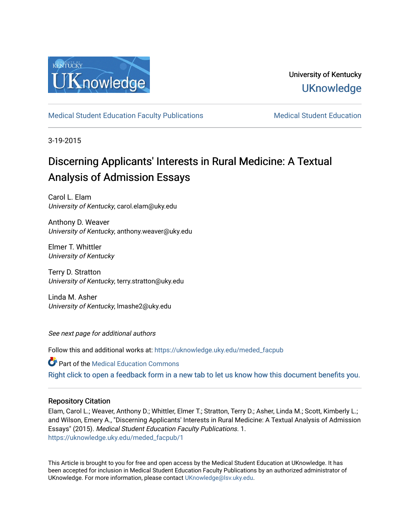

University of Kentucky **UKnowledge** 

[Medical Student Education Faculty Publications](https://uknowledge.uky.edu/meded_facpub) Medical Student Education

3-19-2015

# Discerning Applicants' Interests in Rural Medicine: A Textual Analysis of Admission Essays

Carol L. Elam University of Kentucky, carol.elam@uky.edu

Anthony D. Weaver University of Kentucky, anthony.weaver@uky.edu

Elmer T. Whittler University of Kentucky

Terry D. Stratton University of Kentucky, terry.stratton@uky.edu

Linda M. Asher University of Kentucky, lmashe2@uky.edu

See next page for additional authors

Follow this and additional works at: [https://uknowledge.uky.edu/meded\\_facpub](https://uknowledge.uky.edu/meded_facpub?utm_source=uknowledge.uky.edu%2Fmeded_facpub%2F1&utm_medium=PDF&utm_campaign=PDFCoverPages) 

**Part of the Medical Education Commons** 

[Right click to open a feedback form in a new tab to let us know how this document benefits you.](https://uky.az1.qualtrics.com/jfe/form/SV_9mq8fx2GnONRfz7)

### Repository Citation

Elam, Carol L.; Weaver, Anthony D.; Whittler, Elmer T.; Stratton, Terry D.; Asher, Linda M.; Scott, Kimberly L.; and Wilson, Emery A., "Discerning Applicants' Interests in Rural Medicine: A Textual Analysis of Admission Essays" (2015). Medical Student Education Faculty Publications. 1. [https://uknowledge.uky.edu/meded\\_facpub/1](https://uknowledge.uky.edu/meded_facpub/1?utm_source=uknowledge.uky.edu%2Fmeded_facpub%2F1&utm_medium=PDF&utm_campaign=PDFCoverPages)

This Article is brought to you for free and open access by the Medical Student Education at UKnowledge. It has been accepted for inclusion in Medical Student Education Faculty Publications by an authorized administrator of UKnowledge. For more information, please contact [UKnowledge@lsv.uky.edu](mailto:UKnowledge@lsv.uky.edu).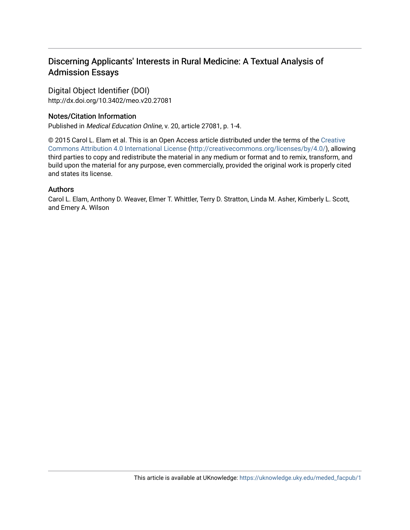# Discerning Applicants' Interests in Rural Medicine: A Textual Analysis of Admission Essays

Digital Object Identifier (DOI) http://dx.doi.org/10.3402/meo.v20.27081

## Notes/Citation Information

Published in Medical Education Online, v. 20, article 27081, p. 1-4.

© 2015 Carol L. Elam et al. This is an Open Access article distributed under the terms of the [Creative](http://creativecommons.org/licenses/by/4.0/)  [Commons Attribution 4.0 International License](http://creativecommons.org/licenses/by/4.0/) (<http://creativecommons.org/licenses/by/4.0/>), allowing third parties to copy and redistribute the material in any medium or format and to remix, transform, and build upon the material for any purpose, even commercially, provided the original work is properly cited and states its license.

### Authors

Carol L. Elam, Anthony D. Weaver, Elmer T. Whittler, Terry D. Stratton, Linda M. Asher, Kimberly L. Scott, and Emery A. Wilson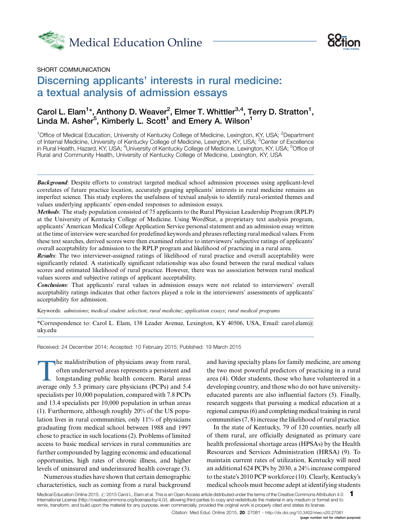



#### SHORT COMMUNICATION

# Discerning applicants' interests in rural medicine: a textual analysis of admission essays

# Carol L. Elam<sup>1</sup>\*, Anthony D. Weaver<sup>2</sup>, Elmer T. Whittler<sup>3,4</sup>, Terry D. Stratton<sup>1</sup>, Linda M. Asher<sup>5</sup>, Kimberly L. Scott<sup>1</sup> and Emery A. Wilson<sup>1</sup>

<sup>1</sup>Office of Medical Education, University of Kentucky College of Medicine, Lexington, KY, USA; <sup>2</sup>Department of Internal Medicine, University of Kentucky College of Medicine, Lexington, KY, USA; <sup>3</sup>Center of Excellence in Rural Health, Hazard, KY, USA; <sup>4</sup>University of Kentucky College of Medicine, Lexington, KY, USA; <sup>5</sup>Office of Rural and Community Health, University of Kentucky College of Medicine, Lexington, KY, USA

Background: Despite efforts to construct targeted medical school admission processes using applicant-level correlates of future practice location, accurately gauging applicants' interests in rural medicine remains an imperfect science. This study explores the usefulness of textual analysis to identify rural-oriented themes and values underlying applicants' open-ended responses to admission essays.

Methods: The study population consisted of 75 applicants to the Rural Physician Leadership Program (RPLP) at the University of Kentucky College of Medicine. Using WordStat, a proprietary text analysis program, applicants' American Medical College Application Service personal statement and an admission essay written at the time of interview were searched for predefined keywords and phrases reflecting rural medical values. From these text searches, derived scores were then examined relative to interviewers' subjective ratings of applicants' overall acceptability for admission to the RPLP program and likelihood of practicing in a rural area.

Results: The two interviewer-assigned ratings of likelihood of rural practice and overall acceptability were significantly related. A statistically significant relationship was also found between the rural medical values scores and estimated likelihood of rural practice. However, there was no association between rural medical values scores and subjective ratings of applicant acceptability.

Conclusions: That applicants' rural values in admission essays were not related to interviewers' overall acceptability ratings indicates that other factors played a role in the interviewers' assessments of applicants' acceptability for admission.

Keywords: admissions; medical student selection; rural medicine; application essays; rural medical programs

\*Correspondence to: Carol L. Elam, 138 Leader Avenue, Lexington, KY 40506, USA, Email: carol.elam@ uky.edu

Received: 24 December 2014; Accepted: 10 February 2015; Published: 19 March 2015

The maldistribution of physicians away from rural,<br>often underserved areas represents a persistent and<br>longstanding public health concern. Rural areas often underserved areas represents a persistent and longstanding public health concern. Rural areas average only 5.3 primary care physicians (PCPs) and 5.4 specialists per 10,000 population, compared with 7.8 PCPs and 13.4 specialists per 10,000 population in urban areas (1). Furthermore, although roughly 20% of the US population lives in rural communities, only 11% of physicians graduating from medical school between 1988 and 1997 chose to practice in such locations (2). Problems of limited access to basic medical services in rural communities are further compounded by lagging economic and educational opportunities, high rates of chronic illness, and higher levels of uninsured and underinsured health coverage (3).

Numerous studies have shown that certain demographic characteristics, such as coming from a rural background and having specialty plans for family medicine, are among the two most powerful predictors of practicing in a rural area (4). Older students, those who have volunteered in a developing country, and those who do not have universityeducated parents are also influential factors (5). Finally, research suggests that pursuing a medical education at a regional campus (6) and completing medical training in rural communities (7, 8) increase the likelihood of rural practice.

In the state of Kentucky, 79 of 120 counties, nearly all of them rural, are officially designated as primary care health professional shortage areas (HPSAs) by the Health Resources and Services Administration (HRSA) (9). To maintain current rates of utilization, Kentucky will need an additional 624 PCPs by 2030, a 24% increase compared to the state's 2010 PCP workforce (10). Clearly, Kentucky's medical schools must become adept at identifying students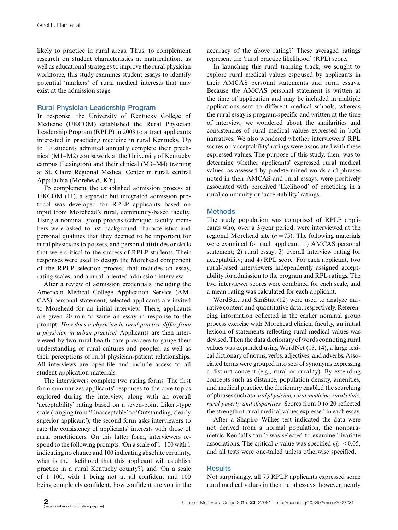likely to practice in rural areas. Thus, to complement research on student characteristics at matriculation, as well as educational strategies to improve the rural physician workforce, this study examines student essays to identify potential 'markers' of rural medical interests that may exist at the admission stage.

#### Rural Physician Leadership Program

In response, the University of Kentucky College of Medicine (UKCOM) established the Rural Physician Leadership Program (RPLP) in 2008 to attract applicants interested in practicing medicine in rural Kentucky. Up to 10 students admitted annually complete their preclinical (M1-M2) coursework at the University of Kentucky campus (Lexington) and their clinical (M3-M4) training at St. Claire Regional Medical Center in rural, central Appalachia (Morehead, KY).

To complement the established admission process at UKCOM (11), a separate but integrated admission protocol was developed for RPLP applicants based on input from Morehead's rural, community-based faculty. Using a nominal group process technique, faculty members were asked to list background characteristics and personal qualities that they deemed to be important for rural physicians to possess, and personal attitudes or skills that were critical to the success of RPLP students. Their responses were used to design the Morehead component of the RPLP selection process that includes an essay, rating scales, and a rural-oriented admission interview.

After a review of admission credentials, including the American Medical College Application Service (AM-CAS) personal statement, selected applicants are invited to Morehead for an initial interview. There, applicants are given 20 min to write an essay in response to the prompt: How does a physician in rural practice differ from a physician in urban practice? Applicants are then interviewed by two rural health care providers to gauge their understanding of rural cultures and peoples, as well as their perceptions of rural physician-patient relationships. All interviews are open-file and include access to all student application materials.

The interviewers complete two rating forms. The first form summarizes applicants' responses to the core topics explored during the interview, along with an overall 'acceptability' rating based on a seven-point Likert-type scale (ranging from 'Unacceptable' to 'Outstanding, clearly superior applicant'); the second form asks interviewers to rate the consistency of applicants' interests with those of rural practitioners. On this latter form, interviewers respond to the following prompts: 'On a scale of 1-100 with 1 indicating no chance and 100 indicating absolute certainty, what is the likelihood that this applicant will establish practice in a rural Kentucky county?'; and 'On a scale of 1-100, with 1 being not at all confident and 100 being completely confident, how confident are you in the

accuracy of the above rating?' These averaged ratings represent the 'rural practice likelihood' (RPL) score.

In launching this rural training track, we sought to explore rural medical values espoused by applicants in their AMCAS personal statements and rural essays. Because the AMCAS personal statement is written at the time of application and may be included in multiple applications sent to different medical schools, whereas the rural essay is program-specific and written at the time of interview, we wondered about the similarities and consistencies of rural medical values expressed in both narratives. We also wondered whether interviewers' RPL scores or 'acceptability' ratings were associated with these expressed values. The purpose of this study, then, was to determine whether applicants' expressed rural medical values, as assessed by predetermined words and phrases noted in their AMCAS and rural essays, were positively associated with perceived 'likelihood' of practicing in a rural community or 'acceptability' ratings.

#### **Methods**

The study population was comprised of RPLP applicants who, over a 3-year period, were interviewed at the regional Morehead site ( $n=75$ ). The following materials were examined for each applicant: 1) AMCAS personal statement; 2) rural essay; 3) overall interview rating for acceptability; and 4) RPL score. For each applicant, two rural-based interviewers independently assigned acceptability for admission to the program and RPL ratings. The two interviewer scores were combined for each scale, and a mean rating was calculated for each applicant.

WordStat and SimStat (12) were used to analyze narrative content and quantitative data, respectively. Referencing information collected in the earlier nominal group process exercise with Morehead clinical faculty, an initial lexicon of statements reflecting rural medical values was devised. Then the data dictionary of words connoting rural values was expanded using WordNet (13, 14), a large lexical dictionary of nouns, verbs, adjectives, and adverbs. Associated terms were grouped into sets of synonyms expressing a distinct concept (e.g., rural or rurality). By extending concepts such as distance, population density, amenities, and medical practice, the dictionary enabled the searching of phrases such asrural physician, rural medicine, rural clinic, rural poverty and disparities. Scores from 0 to 20 reflected the strength of rural medical values expressed in each essay.

After a Shapiro-Wilkes test indicated the data were not derived from a normal population, the nonparametric Kendall's tau b was selected to examine bivariate associations. The critical p value was specified  $\omega \leq 0.05$ , and all tests were one-tailed unless otherwise specified.

#### **Results**

Not surprisingly, all 75 RPLP applicants expressed some rural medical values in their rural essays; however, nearly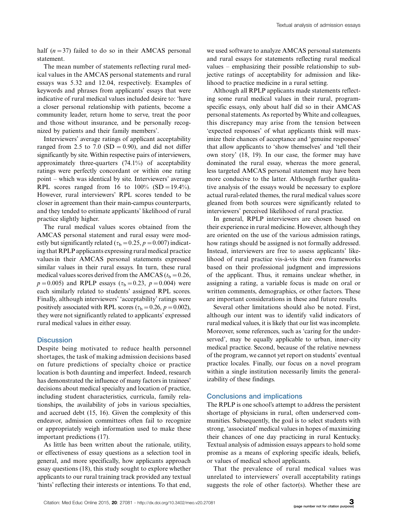half  $(n=37)$  failed to do so in their AMCAS personal statement.

The mean number of statements reflecting rural medical values in the AMCAS personal statements and rural essays was 5.32 and 12.04, respectively. Examples of keywords and phrases from applicants' essays that were indicative of rural medical values included desire to: 'have a closer personal relationship with patients, become a community leader, return home to serve, treat the poor and those without insurance, and be personally recognized by patients and their family members'.

Interviewers' average ratings of applicant acceptability ranged from 2.5 to 7.0 (SD = 0.90), and did not differ significantly by site. Within respective pairs of interviewers, approximately three-quarters (74.1%) of acceptability ratings were perfectly concordant or within one rating point - which was identical by site. Interviewers' average RPL scores ranged from 16 to  $100\%$  (SD = 19.4%). However, rural interviewers' RPL scores tended to be closer in agreement than their main-campus counterparts, and they tended to estimate applicants' likelihood of rural practice slightly higher.

The rural medical values scores obtained from the AMCAS personal statement and rural essay were modestly but significantly related ( $\tau_b$  = 0.25, p = 0.007) indicating that RPLP applicants expressing rural medical practice values in their AMCAS personal statements expressed similar values in their rural essays. In turn, these rural medical values scores derived from the AMCAS ( $t<sub>b</sub> = 0.26$ ,  $p=0.005$ ) and RPLP essays ( $\tau_b=0.23$ ,  $p=0.004$ ) were each similarly related to students' assigned RPL scores. Finally, although interviewers' 'acceptability' ratings were positively associated with RPL scores ( $\tau_b$  = 0.26, p = 0.002), they were not significantly related to applicants' expressed rural medical values in either essay.

#### **Discussion**

Despite being motivated to reduce health personnel shortages, the task of making admission decisions based on future predictions of specialty choice or practice location is both daunting and imperfect. Indeed, research has demonstrated the influence of many factors in trainees' decisions about medical specialty and location of practice, including student characteristics, curricula, family relationships, the availability of jobs in various specialties, and accrued debt (15, 16). Given the complexity of this endeavor, admission committees often fail to recognize or appropriately weigh information used to make these important predictions (17).

As little has been written about the rationale, utility, or effectiveness of essay questions as a selection tool in general, and more specifically, how applicants approach essay questions (18), this study sought to explore whether applicants to our rural training track provided any textual 'hints' reflecting their interests or intentions. To that end,

we used software to analyze AMCAS personal statements and rural essays for statements reflecting rural medical values - emphasizing their possible relationship to subjective ratings of acceptability for admission and likelihood to practice medicine in a rural setting.

Although all RPLP applicants made statements reflecting some rural medical values in their rural, programspecific essays, only about half did so in their AMCAS personal statements. As reported by White and colleagues, this discrepancy may arise from the tension between 'expected responses' of what applicants think will maximize their chances of acceptance and 'genuine responses' that allow applicants to 'show themselves' and 'tell their own story' (18, 19). In our case, the former may have dominated the rural essay, whereas the more general, less targeted AMCAS personal statement may have been more conducive to the latter. Although further qualitative analysis of the essays would be necessary to explore actual rural-related themes, the rural medical values score gleaned from both sources were significantly related to interviewers' perceived likelihood of rural practice.

In general, RPLP interviewers are chosen based on their experience in rural medicine. However, although they are oriented on the use of the various admission ratings, how ratings should be assigned is not formally addressed. Instead, interviewers are free to assess applicants' likelihood of rural practice vis-à-vis their own frameworks based on their professional judgment and impressions of the applicant. Thus, it remains unclear whether, in assigning a rating, a variable focus is made on oral or written comments, demographics, or other factors. These are important considerations in these and future results.

Several other limitations should also be noted. First, although our intent was to identify valid indicators of rural medical values, it is likely that our list was incomplete. Moreover, some references, such as 'caring for the underserved', may be equally applicable to urban, inner-city medical practice. Second, because of the relative newness of the program, we cannot yet report on students' eventual practice locales. Finally, our focus on a novel program within a single institution necessarily limits the generalizability of these findings.

#### Conclusions and implications

The RPLP is one school's attempt to address the persistent shortage of physicians in rural, often underserved communities. Subsequently, the goal is to select students with strong, 'associated' medical values in hopes of maximizing their chances of one day practicing in rural Kentucky. Textual analysis of admission essays appears to hold some promise as a means of exploring specific ideals, beliefs, or values of medical school applicants.

That the prevalence of rural medical values was unrelated to interviewers' overall acceptability ratings suggests the role of other factor(s). Whether these are